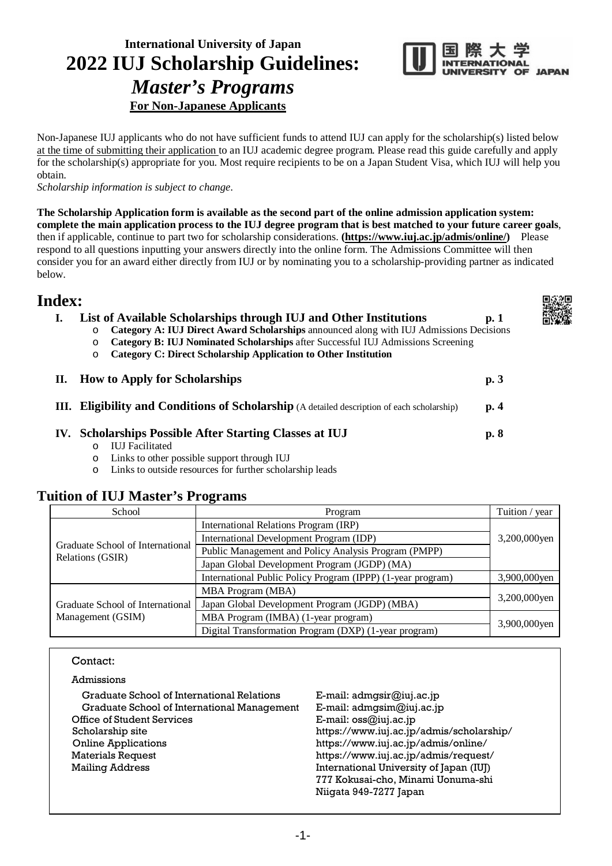# **International University of Japan 2022 IUJ Scholarship Guidelines:**  *Master's Programs* **For Non-Japanese Applicants**



Non-Japanese IUJ applicants who do not have sufficient funds to attend IUJ can apply for the scholarship(s) listed below at the time of submitting their application to an IUJ academic degree program. Please read this guide carefully and apply for the scholarship(s) appropriate for you. Most require recipients to be on a Japan Student Visa, which IUJ will help you obtain.

*Scholarship information is subject to change.*

**The Scholarship Application form is available as the second part of the online admission application system: complete the main application process to the IUJ degree program that is best matched to your future career goals**, then if applicable, continue to part two for scholarship considerations. **[\(https://www.iuj.ac.jp/admis/online/\)](https://www.iuj.ac.jp/admis/online/)** Please respond to all questions inputting your answers directly into the online form. The Admissions Committee will then consider you for an award either directly from IUJ or by nominating you to a scholarship-providing partner as indicated below.

# **Index:**

| List of Available Scholarships through IUJ and Other Institutions<br>Category A: IUJ Direct Award Scholarships announced along with IUJ Admissions Decisions<br>$\circ$<br>Category B: IUJ Nominated Scholarships after Successful IUJ Admissions Screening<br>$\circ$<br><b>Category C: Direct Scholarship Application to Other Institution</b><br>O | p.1 |
|-------------------------------------------------------------------------------------------------------------------------------------------------------------------------------------------------------------------------------------------------------------------------------------------------------------------------------------------------------|-----|
| II. How to Apply for Scholarships                                                                                                                                                                                                                                                                                                                     | p.3 |
| <b>III.</b> Eligibility and Conditions of Scholarship (A detailed description of each scholarship)                                                                                                                                                                                                                                                    | p.4 |
| IV. Scholarships Possible After Starting Classes at IUJ<br><b>IUJ</b> Facilitated<br>$\circ$<br>Links to other possible support through IUJ<br>O                                                                                                                                                                                                      | p.8 |

o Links to outside resources for further scholarship leads

# **Tuition of IUJ Master's Programs**

| School                                               | Program                                                     | Tuition / year |
|------------------------------------------------------|-------------------------------------------------------------|----------------|
|                                                      | International Relations Program (IRP)                       |                |
|                                                      | International Development Program (IDP)                     | 3,200,000yen   |
| Graduate School of International<br>Relations (GSIR) | Public Management and Policy Analysis Program (PMPP)        |                |
|                                                      | Japan Global Development Program (JGDP) (MA)                |                |
|                                                      | International Public Policy Program (IPPP) (1-year program) | 3,900,000yen   |
|                                                      | <b>MBA Program (MBA)</b>                                    |                |
| Graduate School of International                     | Japan Global Development Program (JGDP) (MBA)               | 3,200,000yen   |
| Management (GSIM)                                    | MBA Program (IMBA) (1-year program)                         |                |
|                                                      | Digital Transformation Program (DXP) (1-year program)       | 3,900,000yen   |

## Contact:

| Admissions |  |
|------------|--|
|            |  |

| Graduate School of International Relations  | E-mail: $admgsir@juj.ac.jp$              |
|---------------------------------------------|------------------------------------------|
| Graduate School of International Management | E-mail: admgsim@iuj.ac.jp                |
| Office of Student Services                  | E-mail: $oss@$ iuj.ac.jp                 |
| Scholarship site                            | https://www.iuj.ac.jp/admis/scholarship/ |
| <b>Online Applications</b>                  | https://www.iuj.ac.jp/admis/online/      |
| <b>Materials Request</b>                    | https://www.iuj.ac.jp/admis/request/     |
| <b>Mailing Address</b>                      | International University of Japan (IUJ)  |
|                                             | 777 Kokusai-cho, Minami Uonuma-shi       |
|                                             | Niigata 949-7277 Japan                   |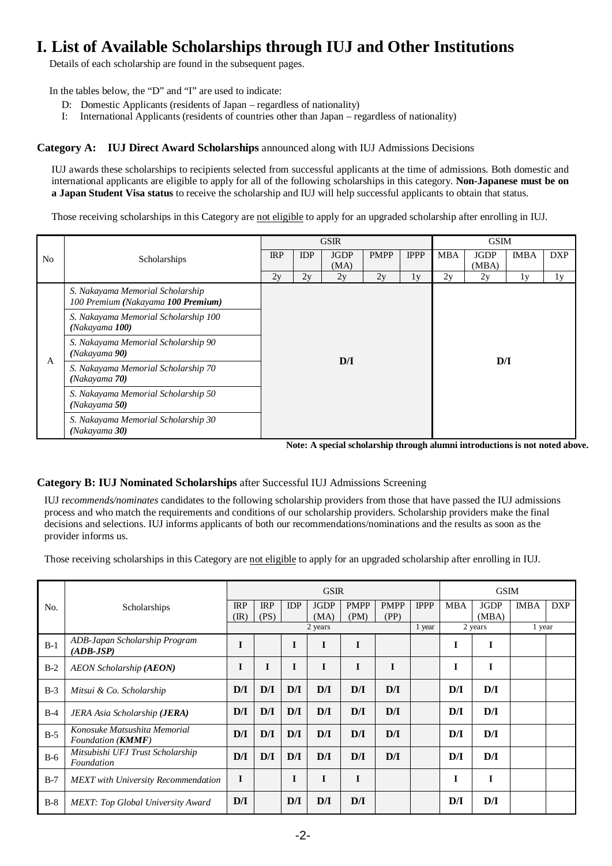# **I. List of Available Scholarships through IUJ and Other Institutions**

Details of each scholarship are found in the subsequent pages.

In the tables below, the "D" and "I" are used to indicate:

- D: Domestic Applicants (residents of Japan regardless of nationality)
- I: International Applicants (residents of countries other than Japan regardless of nationality)

## **Category A: IUJ Direct Award Scholarships** announced along with IUJ Admissions Decisions

IUJ awards these scholarships to recipients selected from successful applicants at the time of admissions. Both domestic and international applicants are eligible to apply for all of the following scholarships in this category. **Non-Japanese must be on a Japan Student Visa status** to receive the scholarship and IUJ will help successful applicants to obtain that status.

Those receiving scholarships in this Category are not eligible to apply for an upgraded scholarship after enrolling in IUJ.

|                |                                                                        |     |            | <b>GSIR</b> |             | <b>GSIM</b> |            |             |             |            |  |
|----------------|------------------------------------------------------------------------|-----|------------|-------------|-------------|-------------|------------|-------------|-------------|------------|--|
| N <sub>o</sub> | Scholarships                                                           | IRP | <b>IDP</b> | <b>JGDP</b> | <b>PMPP</b> | <b>IPPP</b> | <b>MBA</b> | <b>JGDP</b> | <b>IMBA</b> | <b>DXP</b> |  |
|                |                                                                        | 2v  | 2y         | (MA)<br>2y  | 2y          | 1y          | 2y         | (MBA)<br>2y | 1y          | 1y         |  |
|                | S. Nakayama Memorial Scholarship<br>100 Premium (Nakayama 100 Premium) |     |            |             |             |             |            |             |             |            |  |
|                | S. Nakayama Memorial Scholarship 100<br>(Nakayama 100)                 |     |            |             |             |             |            |             |             |            |  |
|                | S. Nakayama Memorial Scholarship 90<br>(Nakayama 90)                   | D/I |            |             |             |             |            |             | D/I         |            |  |
| A              | S. Nakayama Memorial Scholarship 70<br>(Nakayama 70)                   |     |            |             |             |             |            |             |             |            |  |
|                | S. Nakayama Memorial Scholarship 50<br>(Nakayama 50)                   |     |            |             |             |             |            |             |             |            |  |
|                | S. Nakayama Memorial Scholarship 30<br>(Nakayama 30)                   |     |            |             |             |             |            |             |             |            |  |

**Note: A special scholarship through alumni introductions is not noted above.**

## **Category B: IUJ Nominated Scholarships** after Successful IUJ Admissions Screening

IUJ r*ecommends/nominates* candidates to the following scholarship providers from those that have passed the IUJ admissions process and who match the requirements and conditions of our scholarship providers. Scholarship providers make the final decisions and selections. IUJ informs applicants of both our recommendations/nominations and the results as soon as the provider informs us.

Those receiving scholarships in this Category are not eligible to apply for an upgraded scholarship after enrolling in IUJ.

|       |                                                            | <b>GSIR</b>                  |                    |            |                     |                     |                     |             | <b>GSIM</b> |                      |             |            |
|-------|------------------------------------------------------------|------------------------------|--------------------|------------|---------------------|---------------------|---------------------|-------------|-------------|----------------------|-------------|------------|
| No.   | Scholarships                                               | <b>IRP</b><br>$(\mathbb{R})$ | <b>IRP</b><br>(PS) | <b>IDP</b> | <b>JGDP</b><br>(MA) | <b>PMPP</b><br>(PM) | <b>PMPP</b><br>(PP) | <b>IPPP</b> | <b>MBA</b>  | <b>JGDP</b><br>(MBA) | <b>IMBA</b> | <b>DXP</b> |
|       |                                                            |                              |                    |            | 2 years             |                     |                     | 1 year      |             | 2 years              | 1 year      |            |
| $B-1$ | ADB-Japan Scholarship Program<br>$(ADB-JSP)$               | I                            |                    | I          | I                   | I                   |                     |             | Ī           | I                    |             |            |
| $B-2$ | <b>AEON Scholarship (AEON)</b>                             | I                            | I                  | I          | $\bf{I}$            | I                   | I                   |             | I           |                      |             |            |
| $B-3$ | Mitsui & Co. Scholarship                                   | D/I                          | D/I                | D/I        | D/I                 | D/I                 | D/I                 |             | D/I         | D/I                  |             |            |
| $B-4$ | JERA Asia Scholarship ( <b>JERA</b> )                      | D/I                          | D/I                | D/I        | D/I                 | D/I                 | D/I                 |             | D/I         | D/I                  |             |            |
| $B-5$ | Konosuke Matsushita Memorial<br>Foundation ( <b>KMMF</b> ) | D/I                          | D/I                | D/I        | D/I                 | D/I                 | D/I                 |             | D/I         | D/I                  |             |            |
| $B-6$ | Mitsubishi UFJ Trust Scholarship<br>Foundation             | D/I                          | D/I                | D/I        | D/I                 | D/I                 | D/I                 |             | D/I         | D/I                  |             |            |
| $B-7$ | <b>MEXT</b> with University Recommendation                 | I                            |                    |            | I                   | I                   |                     |             | I           |                      |             |            |
| $B-8$ | <b>MEXT:</b> Top Global University Award                   | D/I                          |                    | D/I        | D/I                 | D/I                 |                     |             | D/I         | D/I                  |             |            |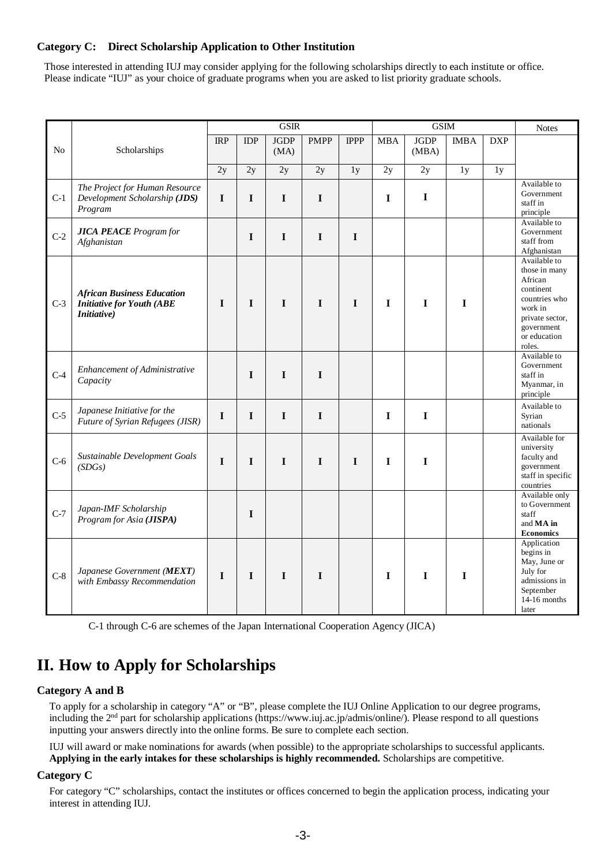## **Category C: Direct Scholarship Application to Other Institution**

Those interested in attending IUJ may consider applying for the following scholarships directly to each institute or office. Please indicate "IUJ" as your choice of graduate programs when you are asked to list priority graduate schools.

|       |                                          | <b>GSIR</b> |             |             |             | GSIM        |             |             |             | <b>Notes</b> |                                 |
|-------|------------------------------------------|-------------|-------------|-------------|-------------|-------------|-------------|-------------|-------------|--------------|---------------------------------|
|       |                                          | <b>IRP</b>  | <b>IDP</b>  | <b>JGDP</b> | <b>PMPP</b> | <b>IPPP</b> | <b>MBA</b>  | <b>JGDP</b> | <b>IMBA</b> | <b>DXP</b>   |                                 |
| No    | Scholarships                             |             |             | (MA)        |             |             |             | (MBA)       |             |              |                                 |
|       |                                          | 2y          | 2y          | 2y          | 2y          | 1y          | 2y          | 2y          | 1y          | 1y           |                                 |
|       | The Project for Human Resource           |             |             |             |             |             |             |             |             |              | Available to<br>Government      |
| $C-1$ | Development Scholarship (JDS)<br>Program | $\mathbf I$ | $\mathbf I$ | $\mathbf I$ | $\mathbf I$ |             | $\mathbf I$ | $\mathbf I$ |             |              | staff in<br>principle           |
|       | <b>JICA PEACE</b> Program for            |             |             |             |             |             |             |             |             |              | Available to<br>Government      |
| $C-2$ | Afghanistan                              |             | $\mathbf I$ | $\bf{I}$    | $\mathbf I$ | $\mathbf I$ |             |             |             |              | staff from<br>Afghanistan       |
|       |                                          |             |             |             |             |             |             |             |             |              | Available to                    |
|       |                                          |             |             |             |             |             |             |             |             |              | those in many<br>African        |
|       | <b>African Business Education</b>        |             |             |             |             |             |             |             |             |              | continent                       |
| $C-3$ | <b>Initiative for Youth (ABE</b>         | $\mathbf I$ | $\mathbf I$ | $\mathbf I$ | $\mathbf I$ | $\mathbf I$ | $\mathbf I$ | $\mathbf I$ | $\mathbf I$ |              | countries who<br>work in        |
|       | <i>Initiative</i> )                      |             |             |             |             |             |             |             |             |              | private sector,                 |
|       |                                          |             |             |             |             |             |             |             |             |              | government                      |
|       |                                          |             |             |             |             |             |             |             |             |              | or education<br>roles.          |
|       |                                          |             |             |             |             |             |             |             |             |              | Available to                    |
|       | Enhancement of Administrative            |             |             |             |             |             |             |             |             |              | Government                      |
| $C-4$ | Capacity                                 |             | I           | I           | $\mathbf I$ |             |             |             |             |              | staff in<br>Myanmar, in         |
|       |                                          |             |             |             |             |             |             |             |             |              | principle                       |
|       | Japanese Initiative for the              |             |             |             |             |             |             |             |             |              | Available to                    |
| $C-5$ | Future of Syrian Refugees (JISR)         | $\mathbf I$ | $\mathbf I$ | I           | $\mathbf I$ |             | $\mathbf I$ | $\mathbf I$ |             |              | Syrian<br>nationals             |
|       |                                          |             |             |             |             |             |             |             |             |              | Available for                   |
|       |                                          |             |             |             |             |             |             |             |             |              | university                      |
| $C-6$ | Sustainable Development Goals            | $\mathbf I$ | $\mathbf I$ | $\mathbf I$ | $\mathbf I$ | $\mathbf I$ | $\mathbf I$ | $\mathbf I$ |             |              | faculty and                     |
|       | (SDGs)                                   |             |             |             |             |             |             |             |             |              | government<br>staff in specific |
|       |                                          |             |             |             |             |             |             |             |             |              | countries                       |
|       |                                          |             |             |             |             |             |             |             |             |              | Available only                  |
| $C-7$ | Japan-IMF Scholarship                    |             | I           |             |             |             |             |             |             |              | to Government<br>staff          |
|       | Program for Asia (JISPA)                 |             |             |             |             |             |             |             |             |              | and <b>MA</b> in                |
|       |                                          |             |             |             |             |             |             |             |             |              | <b>Economics</b>                |
|       |                                          |             |             |             |             |             |             |             |             |              | Application<br>begins in        |
|       |                                          |             |             |             |             |             |             |             |             |              | May, June or                    |
| $C-8$ | Japanese Government (MEXT)               | $\mathbf I$ | 1           | $\mathbf I$ | $\mathbf I$ |             | $\mathbf I$ | $\mathbf I$ | $\mathbf I$ |              | July for                        |
|       | with Embassy Recommendation              |             |             |             |             |             |             |             |             |              | admissions in<br>September      |
|       |                                          |             |             |             |             |             |             |             |             |              | 14-16 months                    |
|       |                                          |             |             |             |             |             |             |             |             |              | later                           |

C-1 through C-6 are schemes of the Japan International Cooperation Agency (JICA)

# **II. How to Apply for Scholarships**

## **Category A and B**

To apply for a scholarship in category "A" or "B", please complete the IUJ Online Application to our degree programs, including the 2nd part for scholarship applications (https://www.iuj.ac.jp/admis/online/). Please respond to all questions inputting your answers directly into the online forms. Be sure to complete each section.

IUJ will award or make nominations for awards (when possible) to the appropriate scholarships to successful applicants. **Applying in the early intakes for these scholarships is highly recommended.** Scholarships are competitive.

## **Category C**

For category "C" scholarships, contact the institutes or offices concerned to begin the application process, indicating your interest in attending IUJ.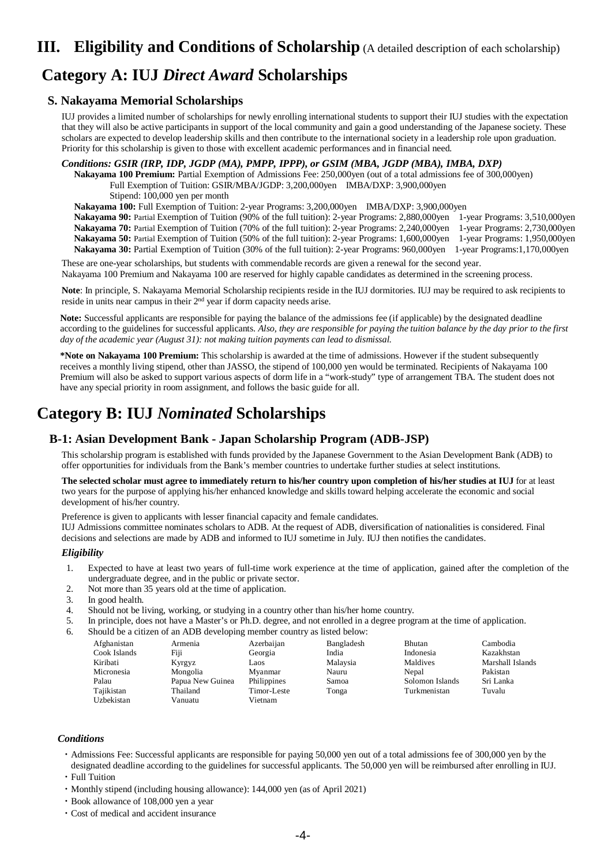# **III. Eligibility and Conditions of Scholarship** (A detailed description of each scholarship)

# **Category A: IUJ** *Direct Award* **Scholarships**

## **S. Nakayama Memorial Scholarships**

IUJ provides a limited number of scholarships for newly enrolling international students to support their IUJ studies with the expectation that they will also be active participants in support of the local community and gain a good understanding of the Japanese society. These scholars are expected to develop leadership skills and then contribute to the international society in a leadership role upon graduation. Priority for this scholarship is given to those with excellent academic performances and in financial need.

*Conditions: GSIR (IRP, IDP, JGDP (MA), PMPP, IPPP), or GSIM (MBA, JGDP (MBA), IMBA, DXP)*

**Nakayama 100 Premium:** Partial Exemption of Admissions Fee: 250,000yen (out of a total admissions fee of 300,000yen) Full Exemption of Tuition: GSIR/MBA/JGDP: 3,200,000yen IMBA/DXP: 3,900,000yen

Stipend: 100,000 yen per month

**Nakayama 100:** Full Exemption of Tuition: 2-year Programs: 3,200,000yen IMBA/DXP: 3,900,000yen

**Nakayama 90:** Partial Exemption of Tuition (90% of the full tuition): 2-year Programs: 2,880,000yen 1-year Programs: 3,510,000yen **Nakayama 70:** Partial Exemption of Tuition (70% of the full tuition): 2-year Programs: 2,240,000yen 1-year Programs: 2,730,000yen **Nakayama 50:** Partial Exemption of Tuition (50% of the full tuition): 2-year Programs: 1,600,000yen 1-year Programs: 1,950,000yen **Nakayama 30:** Partial Exemption of Tuition (30% of the full tuition): 2-year Programs: 960,000yen 1-year Programs:1,170,000yen

These are one-year scholarships, but students with commendable records are given a renewal for the second year. Nakayama 100 Premium and Nakayama 100 are reserved for highly capable candidates as determined in the screening process.

**Note**: In principle, S. Nakayama Memorial Scholarship recipients reside in the IUJ dormitories. IUJ may be required to ask recipients to reside in units near campus in their 2nd year if dorm capacity needs arise.

**Note:** Successful applicants are responsible for paying the balance of the admissions fee (if applicable) by the designated deadline according to the guidelines for successful applicants. *Also, they are responsible for paying the tuition balance by the day prior to the first day of the academic year (August 31): not making tuition payments can lead to dismissal.*

**\*Note on Nakayama 100 Premium:** This scholarship is awarded at the time of admissions. However if the student subsequently receives a monthly living stipend, other than JASSO, the stipend of 100,000 yen would be terminated. Recipients of Nakayama 100 Premium will also be asked to support various aspects of dorm life in a "work-study" type of arrangement TBA. The student does not have any special priority in room assignment, and follows the basic guide for all.

# **Category B: IUJ** *Nominated* **Scholarships**

## **B-1: Asian Development Bank - Japan Scholarship Program (ADB-JSP)**

This scholarship program is established with funds provided by the Japanese Government to the Asian Development Bank (ADB) to offer opportunities for individuals from the Bank's member countries to undertake further studies at select institutions.

**The selected scholar must agree to immediately return to his/her country upon completion of his/her studies at IUJ** for at least two years for the purpose of applying his/her enhanced knowledge and skills toward helping accelerate the economic and social development of his/her country.

Preference is given to applicants with lesser financial capacity and female candidates.

IUJ Admissions committee nominates scholars to ADB. At the request of ADB, diversification of nationalities is considered. Final decisions and selections are made by ADB and informed to IUJ sometime in July. IUJ then notifies the candidates.

### *Eligibility*

- 1. Expected to have at least two years of full-time work experience at the time of application, gained after the completion of the undergraduate degree, and in the public or private sector.
- 2. Not more than 35 years old at the time of application.
- 3. In good health.
- 4. Should not be living, working, or studying in a country other than his/her home country.
- 5. In principle, does not have a Master's or Ph.D. degree, and not enrolled in a degree program at the time of application.
	- Should be a citizen of an ADB developing member country as listed below: Afghanistan Armenia Azerbaijan Bangladesh Bhutan Cambodia Cook Islands Fiji Georgia India Indonesia Kazakhstan Kiribati Kyrgyz Laos Malaysia Maldives Marshall Islands Micronesia Mongolia Myanmar Nauru Nepal Pakistan Palau Papua New Guinea Philippines Samoa Solomon Islands Sri Lanka Tajikistan Thailand Timor-Leste Tonga Turkmenistan Tuvalu Uzbekistan Vanuatu Vietnam

- ・Admissions Fee: Successful applicants are responsible for paying 50,000 yen out of a total admissions fee of 300,000 yen by the designated deadline according to the guidelines for successful applicants. The 50,000 yen will be reimbursed after enrolling in IUJ. ・Full Tuition
- ・Monthly stipend (including housing allowance): 144,000 yen (as of April 2021)
- ・Book allowance of 108,000 yen a year
- ・Cost of medical and accident insurance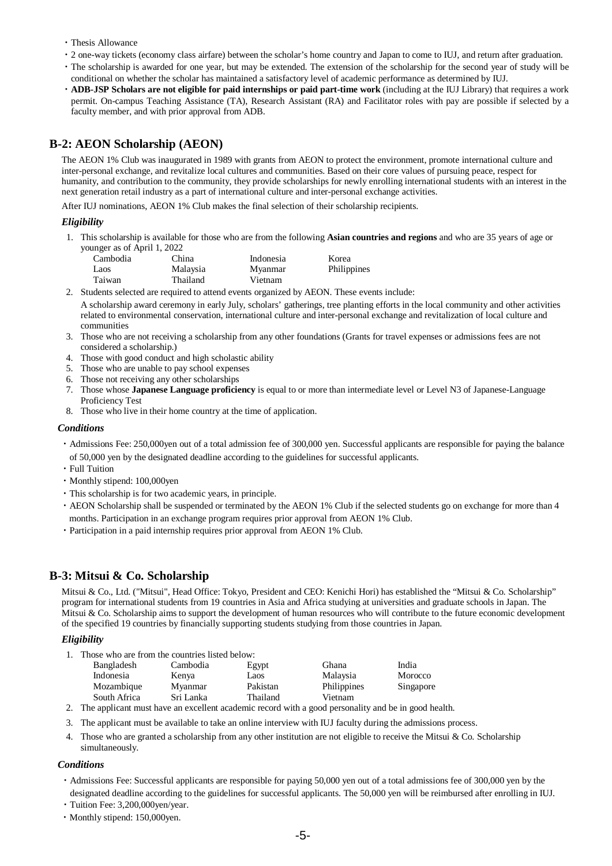- ・Thesis Allowance
- ・2 one-way tickets (economy class airfare) between the scholar's home country and Japan to come to IUJ, and return after graduation.
- ・The scholarship is awarded for one year, but may be extended. The extension of the scholarship for the second year of study will be conditional on whether the scholar has maintained a satisfactory level of academic performance as determined by IUJ.
- ・**ADB-JSP Scholars are not eligible for paid internships or paid part-time work** (including at the IUJ Library) that requires a work permit. On-campus Teaching Assistance (TA), Research Assistant (RA) and Facilitator roles with pay are possible if selected by a faculty member, and with prior approval from ADB.

## **B-2: AEON Scholarship (AEON)**

The AEON 1% Club was inaugurated in 1989 with grants from AEON to protect the environment, promote international culture and inter-personal exchange, and revitalize local cultures and communities. Based on their core values of pursuing peace, respect for humanity, and contribution to the community, they provide scholarships for newly enrolling international students with an interest in the next generation retail industry as a part of international culture and inter-personal exchange activities.

After IUJ nominations, AEON 1% Club makes the final selection of their scholarship recipients.

### *Eligibility*

1. This scholarship is available for those who are from the following **Asian countries and regions** and who are 35 years of age or younger as of April 1, 2022

| Cambodia | China    | Indonesia | Korea       |
|----------|----------|-----------|-------------|
| Laos     | Malaysia | Myanmar   | Philippines |
| Taiwan   | Thailand | Vietnam   |             |

- 2. Students selected are required to attend events organized by AEON. These events include: A scholarship award ceremony in early July, scholars' gatherings, tree planting efforts in the local community and other activities related to environmental conservation, international culture and inter-personal exchange and revitalization of local culture and communities
- 3. Those who are not receiving a scholarship from any other foundations (Grants for travel expenses or admissions fees are not considered a scholarship.)
- 4. Those with good conduct and high scholastic ability
- 5. Those who are unable to pay school expenses
- 6. Those not receiving any other scholarships
- 7. Those whose **Japanese Language proficiency** is equal to or more than intermediate level or Level N3 of Japanese-Language Proficiency Test
- 8. Those who live in their home country at the time of application.

#### *Conditions*

- ・Admissions Fee: 250,000yen out of a total admission fee of 300,000 yen. Successful applicants are responsible for paying the balance of 50,000 yen by the designated deadline according to the guidelines for successful applicants.
- ・Full Tuition
- ・Monthly stipend: 100,000yen
- ・This scholarship is for two academic years, in principle.
- ・AEON Scholarship shall be suspended or terminated by the AEON 1% Club if the selected students go on exchange for more than 4 months. Participation in an exchange program requires prior approval from AEON 1% Club.
- ・Participation in a paid internship requires prior approval from AEON 1% Club.

## **B-3: Mitsui & Co. Scholarship**

Mitsui & Co., Ltd. ("Mitsui", Head Office: Tokyo, President and CEO: Kenichi Hori) has established the "Mitsui & Co. Scholarship" program for international students from 19 countries in Asia and Africa studying at universities and graduate schools in Japan. The Mitsui & Co. Scholarship aims to support the development of human resources who will contribute to the future economic development of the specified 19 countries by financially supporting students studying from those countries in Japan.

### *Eligibility*

1. Those who are from the countries listed below:

| Bangladesh   | Cambodia  | Egypt    | Ghana       | India     |
|--------------|-----------|----------|-------------|-----------|
| Indonesia    | Kenya     | Laos     | Malaysia    | Morocco   |
| Mozambique   | Myanmar   | Pakistan | Philippines | Singapore |
| South Africa | Sri Lanka | Thailand | Vietnam     |           |

2. The applicant must have an excellent academic record with a good personality and be in good health.

- 3. The applicant must be available to take an online interview with IUJ faculty during the admissions process.
- 4. Those who are granted a scholarship from any other institution are not eligible to receive the Mitsui & Co. Scholarship simultaneously.

- ・Admissions Fee: Successful applicants are responsible for paying 50,000 yen out of a total admissions fee of 300,000 yen by the designated deadline according to the guidelines for successful applicants. The 50,000 yen will be reimbursed after enrolling in IUJ.
- ・Tuition Fee: 3,200,000yen/year.
- ・Monthly stipend: 150,000yen.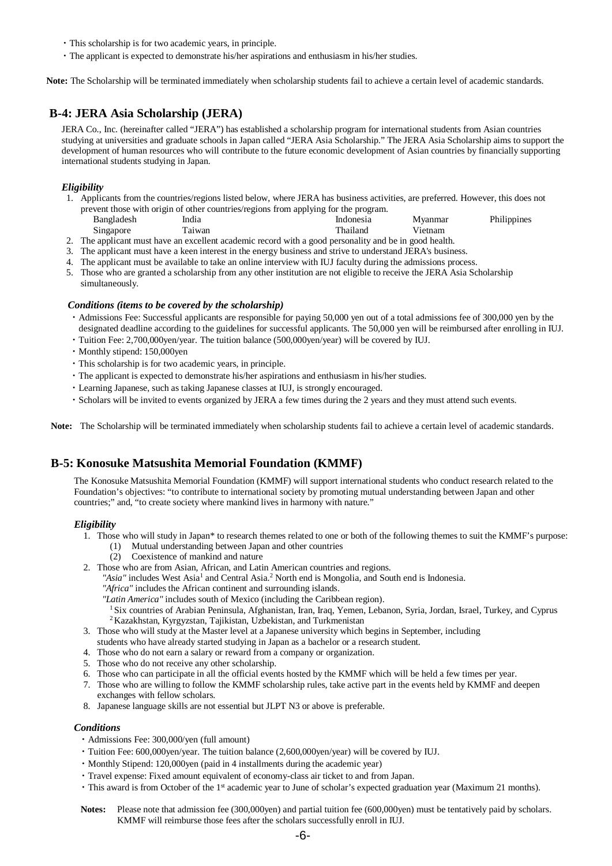- ・This scholarship is for two academic years, in principle.
- ・The applicant is expected to demonstrate his/her aspirations and enthusiasm in his/her studies.

**Note:** The Scholarship will be terminated immediately when scholarship students fail to achieve a certain level of academic standards.

## **B-4: JERA Asia Scholarship (JERA)**

JERA Co., Inc. (hereinafter called "JERA") has established a scholarship program for international students from Asian countries studying at universities and graduate schools in Japan called "JERA Asia Scholarship." The JERA Asia Scholarship aims to support the development of human resources who will contribute to the future economic development of Asian countries by financially supporting international students studying in Japan.

#### *Eligibility*

1. Applicants from the countries/regions listed below, where JERA has business activities, are preferred. However, this does not prevent those with origin of other countries/regions from applying for the program.

| Bangladesh | India  | Indonesia | Myanmar | Philippines |
|------------|--------|-----------|---------|-------------|
| Singapore  | Taiwan | Thailand  | Vietnam |             |
|            |        |           |         |             |

- 2. The applicant must have an excellent academic record with a good personality and be in good health.
- 3. The applicant must have a keen interest in the energy business and strive to understand JERA's business.
- 4. The applicant must be available to take an online interview with IUJ faculty during the admissions process.
- 5. Those who are granted a scholarship from any other institution are not eligible to receive the JERA Asia Scholarship simultaneously.

#### *Conditions (items to be covered by the scholarship)*

- ・Admissions Fee: Successful applicants are responsible for paying 50,000 yen out of a total admissions fee of 300,000 yen by the designated deadline according to the guidelines for successful applicants. The 50,000 yen will be reimbursed after enrolling in IUJ.
- ・Tuition Fee: 2,700,000yen/year. The tuition balance (500,000yen/year) will be covered by IUJ.
- ・Monthly stipend: 150,000yen
- ・This scholarship is for two academic years, in principle.
- ・The applicant is expected to demonstrate his/her aspirations and enthusiasm in his/her studies.
- ・Learning Japanese, such as taking Japanese classes at IUJ, is strongly encouraged.
- ・Scholars will be invited to events organized by JERA a few times during the 2 years and they must attend such events.

**Note:** The Scholarship will be terminated immediately when scholarship students fail to achieve a certain level of academic standards.

## **B-5: Konosuke Matsushita Memorial Foundation (KMMF)**

The Konosuke Matsushita Memorial Foundation (KMMF) will support international students who conduct research related to the Foundation's objectives: "to contribute to international society by promoting mutual understanding between Japan and other countries;" and, "to create society where mankind lives in harmony with nature."

#### *Eligibility*

- 1. Those who will study in Japan\* to research themes related to one or both of the following themes to suit the KMMF's purpose:
	- (1) Mutual understanding between Japan and other countries
	- (2) Coexistence of mankind and nature
- 2. Those who are from Asian, African, and Latin American countries and regions.
- "Asia" includes West Asia<sup>1</sup> and Central Asia.<sup>2</sup> North end is Mongolia, and South end is Indonesia.
	-
	- *"Africa"* includes the African continent and surrounding islands.
	- <sup>1</sup> Six countries of Arabian Peninsula, Afghanistan, Iran, Iraq, Yemen, Lebanon, Syria, Jordan, Israel, Turkey, and Cyprus <sup>2</sup> Kazakhstan, Kyrgyzstan, Tajikistan, Uzbekistan, and Turkmenistan
- 3. Those who will study at the Master level at a Japanese university which begins in September, including
- students who have already started studying in Japan as a bachelor or a research student.
- 4. Those who do not earn a salary or reward from a company or organization.
- 5. Those who do not receive any other scholarship.
- 6. Those who can participate in all the official events hosted by the KMMF which will be held a few times per year.
- 7. Those who are willing to follow the KMMF scholarship rules, take active part in the events held by KMMF and deepen exchanges with fellow scholars.
- 8. Japanese language skills are not essential but JLPT N3 or above is preferable.

- ・Admissions Fee: 300,000/yen (full amount)
- ・Tuition Fee: 600,000yen/year. The tuition balance (2,600,000yen/year) will be covered by IUJ.
- ・Monthly Stipend: 120,000yen (paid in 4 installments during the academic year)
- ・Travel expense: Fixed amount equivalent of economy-class air ticket to and from Japan.
- ・This award is from October of the 1st academic year to June of scholar's expected graduation year (Maximum 21 months).
- Notes: Please note that admission fee (300,000yen) and partial tuition fee (600,000yen) must be tentatively paid by scholars. KMMF will reimburse those fees after the scholars successfully enroll in IUJ.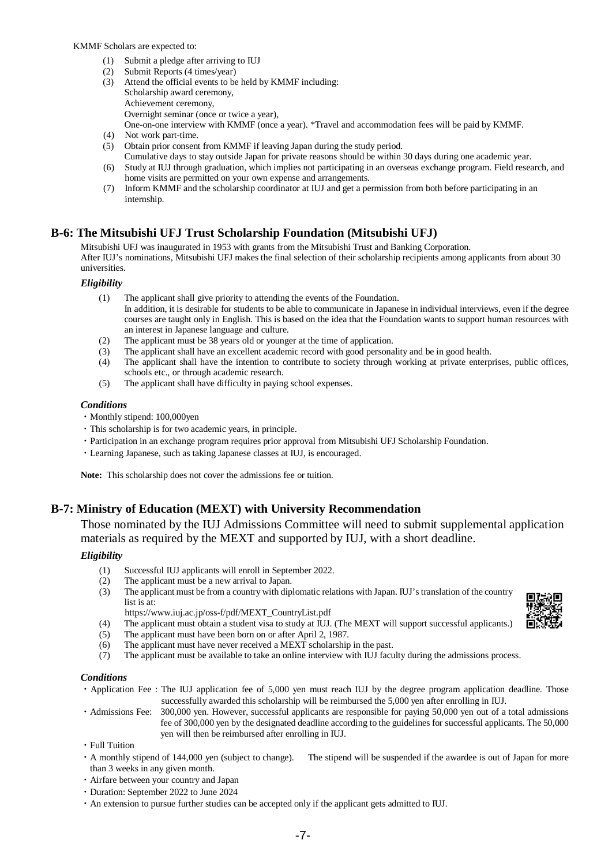KMMF Scholars are expected to:

- (1) Submit a pledge after arriving to IUJ
- (2) Submit Reports (4 times/year)
- (3) Attend the official events to be held by KMMF including: Scholarship award ceremony, Achievement ceremony, Overnight seminar (once or twice a year), One-on-one interview with KMMF (once a year). \*Travel and accommodation fees will be paid by KMMF.
- (4) Not work part-time.
- (5) Obtain prior consent from KMMF if leaving Japan during the study period.
- Cumulative days to stay outside Japan for private reasons should be within 30 days during one academic year. (6) Study at IUJ through graduation, which implies not participating in an overseas exchange program. Field research, and home visits are permitted on your own expense and arrangements.
- (7) Inform KMMF and the scholarship coordinator at IUJ and get a permission from both before participating in an internship.

## **B-6: The Mitsubishi UFJ Trust Scholarship Foundation (Mitsubishi UFJ)**

Mitsubishi UFJ was inaugurated in 1953 with grants from the Mitsubishi Trust and Banking Corporation. After IUJ's nominations, Mitsubishi UFJ makes the final selection of their scholarship recipients among applicants from about 30 universities.

### *Eligibility*

- (1) The applicant shall give priority to attending the events of the Foundation.
	- In addition, it is desirable for students to be able to communicate in Japanese in individual interviews, even if the degree courses are taught only in English. This is based on the idea that the Foundation wants to support human resources with an interest in Japanese language and culture.
- (2) The applicant must be 38 years old or younger at the time of application.
- (3) The applicant shall have an excellent academic record with good personality and be in good health.<br>(4) The applicant shall have the intention to contribute to society through working at private entern
- The applicant shall have the intention to contribute to society through working at private enterprises, public offices, schools etc., or through academic research.
- (5) The applicant shall have difficulty in paying school expenses.

#### *Conditions*

- ・Monthly stipend: 100,000yen
- ・This scholarship is for two academic years, in principle.
- ・Participation in an exchange program requires prior approval from Mitsubishi UFJ Scholarship Foundation.
- ・Learning Japanese, such as taking Japanese classes at IUJ, is encouraged.

**Note:** This scholarship does not cover the admissions fee or tuition.

## **B-7: Ministry of Education (MEXT) with University Recommendation**

Those nominated by the IUJ Admissions Committee will need to submit supplemental application materials as required by the MEXT and supported by IUJ, with a short deadline.

### *Eligibility*

- (1) Successful IUJ applicants will enroll in September 2022.<br>(2) The applicant must be a new arrival to Japan.
- (2) The applicant must be a new arrival to Japan.<br>  $(3)$  The applicant must be from a country with dip
- The applicant must be from a country with diplomatic relations with Japan. IUJ's translation of the country list is at:
- https://www.iuj.ac.jp/oss-f/pdf/MEXT\_CountryList.pdf
- (4) The applicant must obtain a student visa to study at IUJ. (The MEXT will support successful applicants.)
- (5) The applicant must have been born on or after April 2, 1987.
- (6) The applicant must have never received a MEXT scholarship in the past.
- (7) The applicant must be available to take an online interview with IUJ faculty during the admissions process.

- ・Application Fee : The IUJ application fee of 5,000 yen must reach IUJ by the degree program application deadline. Those successfully awarded this scholarship will be reimbursed the 5,000 yen after enrolling in IUJ.
- ・Admissions Fee: 300,000 yen. However, successful applicants are responsible for paying 50,000 yen out of a total admissions fee of 300,000 yen by the designated deadline according to the guidelines for successful applicants. The 50,000 yen will then be reimbursed after enrolling in IUJ.
- ・Full Tuition
- ・A monthly stipend of 144,000 yen (subject to change). The stipend will be suspended if the awardee is out of Japan for more than 3 weeks in any given month.
- ・Airfare between your country and Japan
- ・Duration: September 2022 to June 2024
- ・An extension to pursue further studies can be accepted only if the applicant gets admitted to IUJ.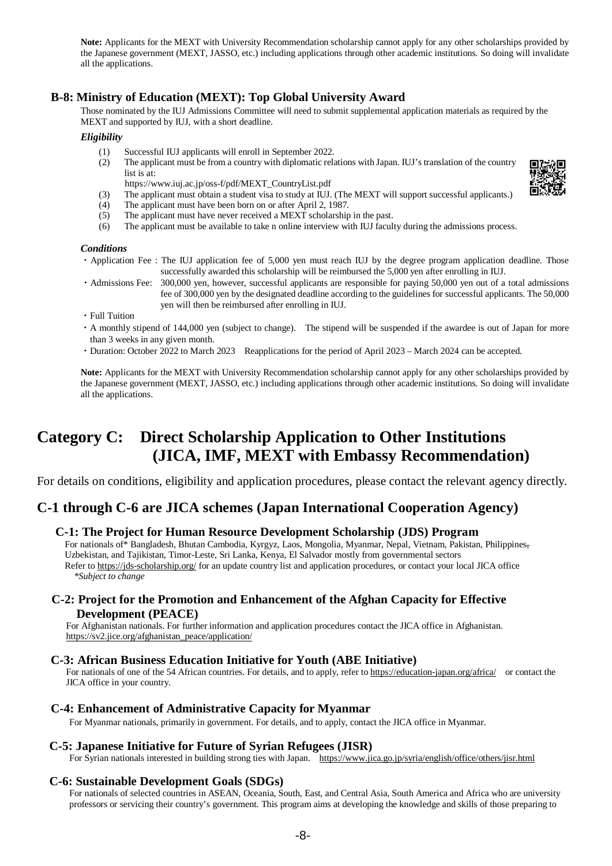**Note:** Applicants for the MEXT with University Recommendation scholarship cannot apply for any other scholarships provided by the Japanese government (MEXT, JASSO, etc.) including applications through other academic institutions. So doing will invalidate all the applications.

## **B-8: Ministry of Education (MEXT): Top Global University Award**

Those nominated by the IUJ Admissions Committee will need to submit supplemental application materials as required by the MEXT and supported by IUJ, with a short deadline.

### *Eligibility*

- (1) Successful IUJ applicants will enroll in September 2022.
- (2) The applicant must be from a country with diplomatic relations with Japan. IUJ's translation of the country list is at:
- https://www.iuj.ac.jp/oss-f/pdf/MEXT\_CountryList.pdf (3) The applicant must obtain a student visa to study at IUJ. (The MEXT will support successful applicants.)
- (4) The applicant must have been born on or after April 2, 1987.
- (5) The applicant must have never received a MEXT scholarship in the past.
- (6) The applicant must be available to take n online interview with IUJ faculty during the admissions process.

#### *Conditions*

- ・Application Fee : The IUJ application fee of 5,000 yen must reach IUJ by the degree program application deadline. Those successfully awarded this scholarship will be reimbursed the 5,000 yen after enrolling in IUJ.
- ・Admissions Fee: 300,000 yen, however, successful applicants are responsible for paying 50,000 yen out of a total admissions fee of 300,000 yen by the designated deadline according to the guidelines for successful applicants. The 50,000 yen will then be reimbursed after enrolling in IUJ.
- ・Full Tuition
- ・A monthly stipend of 144,000 yen (subject to change). The stipend will be suspended if the awardee is out of Japan for more than 3 weeks in any given month.
- ・Duration: October 2022 to March 2023 Reapplications for the period of April 2023 March 2024 can be accepted.

**Note:** Applicants for the MEXT with University Recommendation scholarship cannot apply for any other scholarships provided by the Japanese government (MEXT, JASSO, etc.) including applications through other academic institutions. So doing will invalidate all the applications.

# **Category C: Direct Scholarship Application to Other Institutions (JICA, IMF, MEXT with Embassy Recommendation)**

For details on conditions, eligibility and application procedures, please contact the relevant agency directly.

## **C-1 through C-6 are JICA schemes (Japan International Cooperation Agency)**

## **C-1: The Project for Human Resource Development Scholarship (JDS) Program**

For nationals of\* Bangladesh, Bhutan Cambodia, Kyrgyz, Laos, Mongolia, Myanmar, Nepal, Vietnam, Pakistan, Philippines, Uzbekistan, and Tajikistan, Timor-Leste, Sri Lanka, Kenya, El Salvador mostly from governmental sectors Refer t[o https://jds-scholarship.org/](https://jds-scholarship.org/) for an update country list and application procedures, or contact your local JICA office *\*Subject to change*

## **C-2: Project for the Promotion and Enhancement of the Afghan Capacity for Effective Development (PEACE)**

For Afghanistan nationals. For further information and application procedures contact the JICA office in Afghanistan. [https://sv2.jice.org/afghanistan\\_peace/application/](https://sv2.jice.org/afghanistan_peace/application/)

## **C-3: African Business Education Initiative for Youth (ABE Initiative)**

For nationals of one of the 54 African countries. For details, and to apply, refer t[o https://education-japan.org/africa/](https://education-japan.org/africa/) or contact the JICA office in your country.

## **C-4: Enhancement of Administrative Capacity for Myanmar**

For Myanmar nationals, primarily in government. For details, and to apply, contact the JICA office in Myanmar.

### **C-5: Japanese Initiative for Future of Syrian Refugees (JISR)**

For Syrian nationals interested in building strong ties with Japan. <https://www.jica.go.jp/syria/english/office/others/jisr.html>

### **C-6: Sustainable Development Goals (SDGs)**

For nationals of selected countries in ASEAN, Oceania, South, East, and Central Asia, South America and Africa who are university professors or servicing their country's government. This program aims at developing the knowledge and skills of those preparing to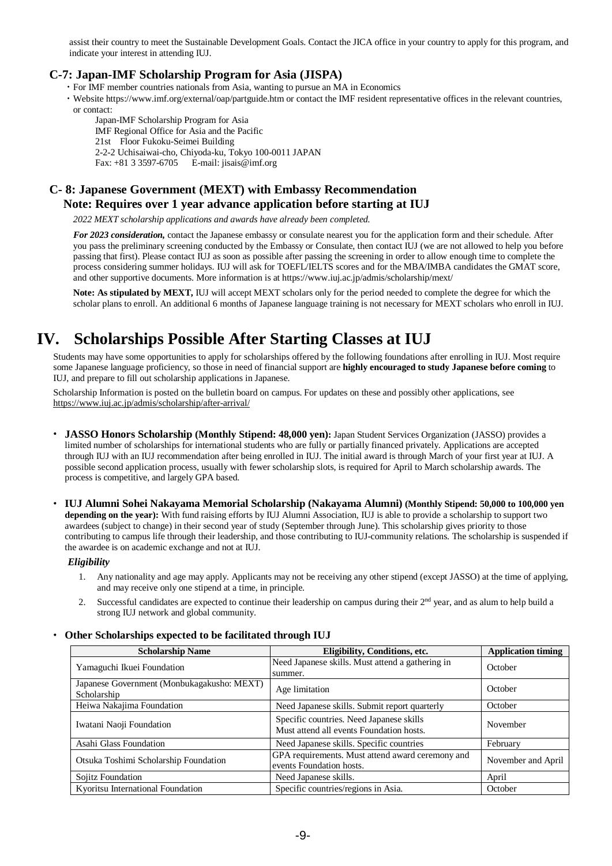assist their country to meet the Sustainable Development Goals. Contact the JICA office in your country to apply for this program, and indicate your interest in attending IUJ.

## **C-7: Japan-IMF Scholarship Program for Asia (JISPA)**

・For IMF member countries nationals from Asia, wanting to pursue an MA in Economics

- ・Website https://www.imf.org/external/oap/partguide.htm or contact the IMF resident representative offices in the relevant countries,
	- or contact:

Japan-IMF Scholarship Program for Asia

IMF Regional Office for Asia and the Pacific

21st Floor Fukoku-Seimei Building

2-2-2 Uchisaiwai-cho, Chiyoda-ku, Tokyo 100-0011 JAPAN

Fax: +81 3 3597-6705 E-mail[: jisais@imf.org](mailto:jisais@imf.org)

## **C- 8: Japanese Government (MEXT) with Embassy Recommendation Note: Requires over 1 year advance application before starting at IUJ**

*2022 MEXT scholarship applications and awards have already been completed.* 

*For 2023 consideration,* contact the Japanese embassy or consulate nearest you for the application form and their schedule. After you pass the preliminary screening conducted by the Embassy or Consulate, then contact IUJ (we are not allowed to help you before passing that first). Please contact IUJ as soon as possible after passing the screening in order to allow enough time to complete the process considering summer holidays. IUJ will ask for TOEFL/IELTS scores and for the MBA/IMBA candidates the GMAT score, and other supportive documents. More information is at https://www.iuj.ac.jp/admis/scholarship/mext/

**Note: As stipulated by MEXT,** IUJ will accept MEXT scholars only for the period needed to complete the degree for which the scholar plans to enroll. An additional 6 months of Japanese language training is not necessary for MEXT scholars who enroll in IUJ.

# **IV. Scholarships Possible After Starting Classes at IUJ**

Students may have some opportunities to apply for scholarships offered by the following foundations after enrolling in IUJ. Most require some Japanese language proficiency, so those in need of financial support are **highly encouraged to study Japanese before coming** to IUJ, and prepare to fill out scholarship applications in Japanese.

Scholarship Information is posted on the bulletin board on campus. For updates on these and possibly other applications, see <https://www.iuj.ac.jp/admis/scholarship/after-arrival/>

- ・ **JASSO Honors Scholarship (Monthly Stipend: 48,000 yen):** Japan Student Services Organization (JASSO) provides a limited number of scholarships for international students who are fully or partially financed privately. Applications are accepted through IUJ with an IUJ recommendation after being enrolled in IUJ. The initial award is through March of your first year at IUJ. A possible second application process, usually with fewer scholarship slots, is required for April to March scholarship awards. The process is competitive, and largely GPA based.
- ・ **IUJ Alumni Sohei Nakayama Memorial Scholarship (Nakayama Alumni) (Monthly Stipend: 50,000 to 100,000 yen depending on the year):** With fund raising efforts by IUJ Alumni Association, IUJ is able to provide a scholarship to support two awardees (subject to change) in their second year of study (September through June). This scholarship gives priority to those contributing to campus life through their leadership, and those contributing to IUJ-community relations. The scholarship is suspended if the awardee is on academic exchange and not at IUJ.

### *Eligibility*

- 1. Any nationality and age may apply. Applicants may not be receiving any other stipend (except JASSO) at the time of applying, and may receive only one stipend at a time, in principle.
- 2. Successful candidates are expected to continue their leadership on campus during their 2<sup>nd</sup> year, and as alum to help build a strong IUJ network and global community.

| <b>Scholarship Name</b>                                   | Eligibility, Conditions, etc.                                                        | <b>Application timing</b> |
|-----------------------------------------------------------|--------------------------------------------------------------------------------------|---------------------------|
| Yamaguchi Ikuei Foundation                                | Need Japanese skills. Must attend a gathering in<br>summer.                          | October                   |
| Japanese Government (Monbukagakusho: MEXT)<br>Scholarship | Age limitation                                                                       | October                   |
| Heiwa Nakajima Foundation                                 | Need Japanese skills. Submit report quarterly                                        | October                   |
| Iwatani Naoji Foundation                                  | Specific countries. Need Japanese skills<br>Must attend all events Foundation hosts. | November                  |
| Asahi Glass Foundation                                    | Need Japanese skills. Specific countries                                             | February                  |
| Otsuka Toshimi Scholarship Foundation                     | GPA requirements. Must attend award ceremony and<br>events Foundation hosts.         | November and April        |
| Sojitz Foundation                                         | Need Japanese skills.                                                                | April                     |
| Kyoritsu International Foundation                         | Specific countries/regions in Asia.                                                  | October                   |

## ・ **Other Scholarships expected to be facilitated through IUJ**